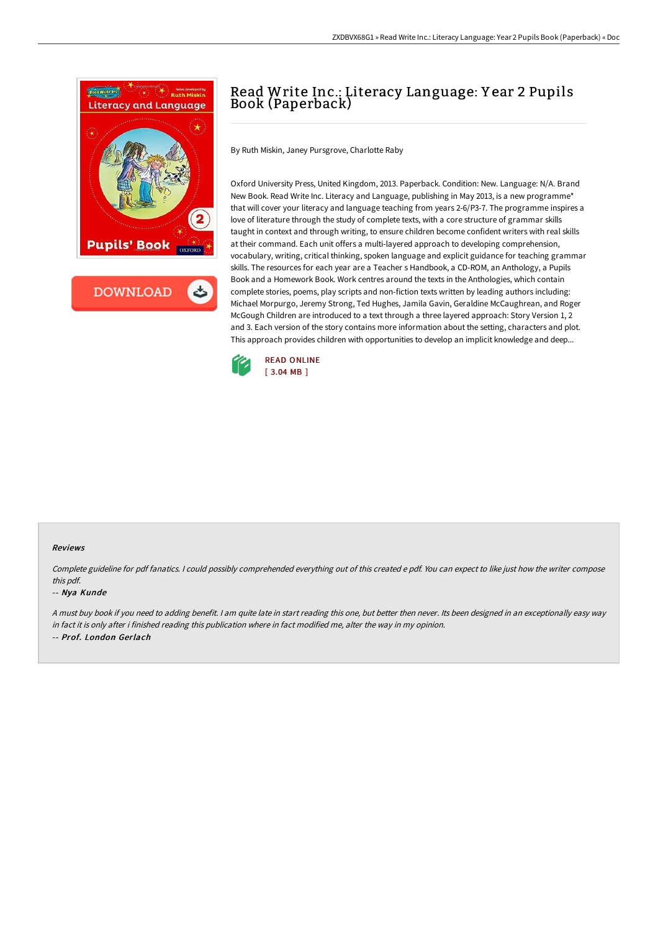

# Read Write Inc.: Literacy Language: Y ear 2 Pupils Book (Paperback)

By Ruth Miskin, Janey Pursgrove, Charlotte Raby

Oxford University Press, United Kingdom, 2013. Paperback. Condition: New. Language: N/A. Brand New Book. Read Write Inc. Literacy and Language, publishing in May 2013, is a new programme\* that will cover your literacy and language teaching from years 2-6/P3-7. The programme inspires a love of literature through the study of complete texts, with a core structure of grammar skills taught in context and through writing, to ensure children become confident writers with real skills at their command. Each unit offers a multi-layered approach to developing comprehension, vocabulary, writing, critical thinking, spoken language and explicit guidance for teaching grammar skills. The resources for each year are a Teacher s Handbook, a CD-ROM, an Anthology, a Pupils Book and a Homework Book. Work centres around the texts in the Anthologies, which contain complete stories, poems, play scripts and non-fiction texts written by leading authors including: Michael Morpurgo, Jeremy Strong, Ted Hughes, Jamila Gavin, Geraldine McCaughrean, and Roger McGough Children are introduced to a text through a three layered approach: Story Version 1, 2 and 3. Each version of the story contains more information about the setting, characters and plot. This approach provides children with opportunities to develop an implicit knowledge and deep...



#### Reviews

Complete guideline for pdf fanatics. <sup>I</sup> could possibly comprehended everything out of this created <sup>e</sup> pdf. You can expect to like just how the writer compose this pdf.

#### -- Nya Kunde

<sup>A</sup> must buy book if you need to adding benefit. <sup>I</sup> am quite late in start reading this one, but better then never. Its been designed in an exceptionally easy way in fact it is only after i finished reading this publication where in fact modified me, alter the way in my opinion. -- Prof. London Gerlach